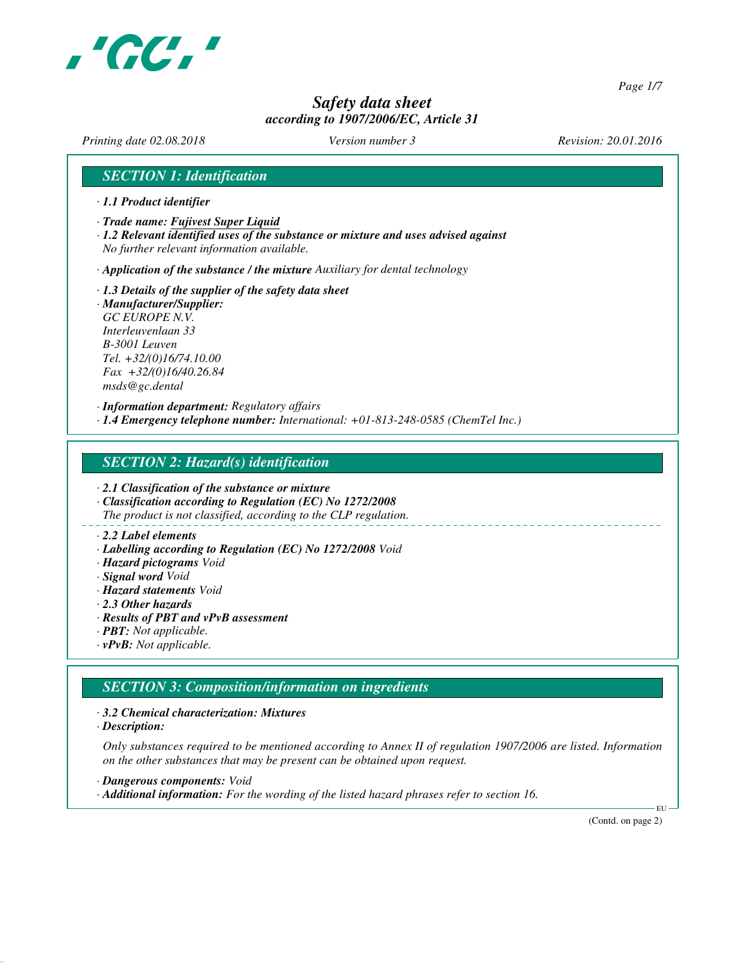

*Page 1/7*

## *Safety data sheet according to 1907/2006/EC, Article 31*

*Printing date 02.08.2018 Version number 3 Revision: 20.01.2016*

## *SECTION 1: Identification*

- *· 1.1 Product identifier*
- *· Trade name: Fujivest Super Liquid*
- *· 1.2 Relevant identified uses of the substance or mixture and uses advised against No further relevant information available.*

*· Application of the substance / the mixture Auxiliary for dental technology*

- *· 1.3 Details of the supplier of the safety data sheet · Manufacturer/Supplier:*
- *GC EUROPE N.V. Interleuvenlaan 33 B-3001 Leuven Tel. +32/(0)16/74.10.00 Fax +32/(0)16/40.26.84 msds@gc.dental*

*· Information department: Regulatory affairs · 1.4 Emergency telephone number: International: +01-813-248-0585 (ChemTel Inc.)*

### *SECTION 2: Hazard(s) identification*

*· 2.1 Classification of the substance or mixture*

*· Classification according to Regulation (EC) No 1272/2008 The product is not classified, according to the CLP regulation.*

#### *· 2.2 Label elements*

- *· Labelling according to Regulation (EC) No 1272/2008 Void*
- *· Hazard pictograms Void*
- *· Signal word Void*
- *· Hazard statements Void*
- *· 2.3 Other hazards*
- *· Results of PBT and vPvB assessment*
- *· PBT: Not applicable.*
- *· vPvB: Not applicable.*

### *SECTION 3: Composition/information on ingredients*

- *· 3.2 Chemical characterization: Mixtures*
- *· Description:*

*Only substances required to be mentioned according to Annex II of regulation 1907/2006 are listed. Information on the other substances that may be present can be obtained upon request.*

*· Dangerous components: Void*

*· Additional information: For the wording of the listed hazard phrases refer to section 16.*

(Contd. on page 2)

EU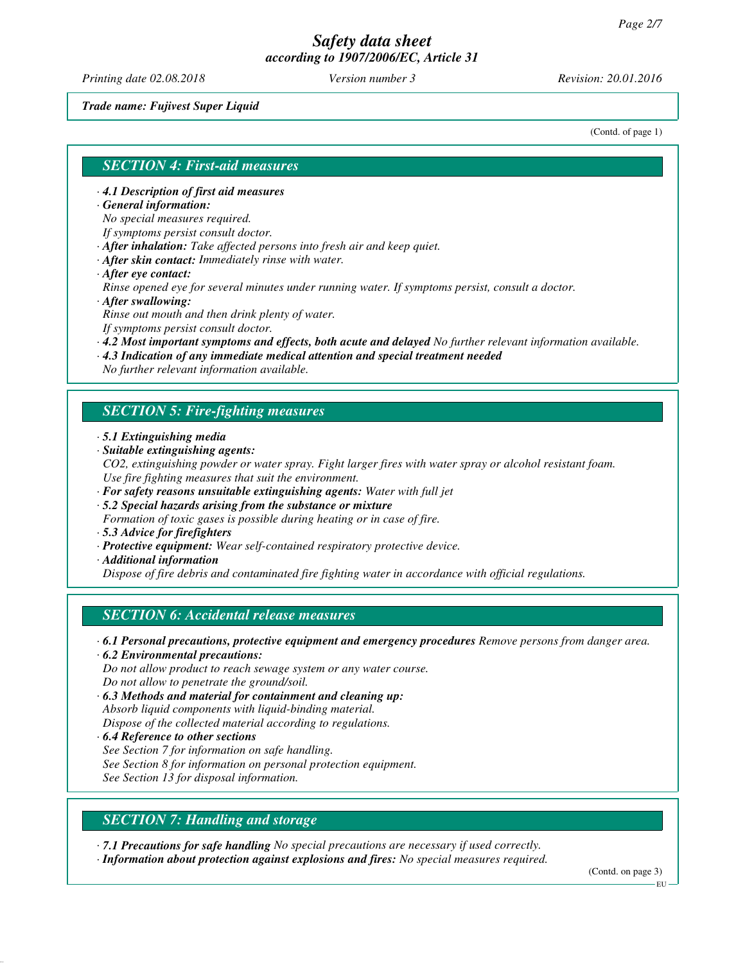*Printing date 02.08.2018 Version number 3 Revision: 20.01.2016*

*Trade name: Fujivest Super Liquid*

(Contd. of page 1)

### *SECTION 4: First-aid measures*

*· 4.1 Description of first aid measures*

*· General information:*

*No special measures required.*

*If symptoms persist consult doctor.*

*· After inhalation: Take affected persons into fresh air and keep quiet.*

- *· After skin contact: Immediately rinse with water.*
- *· After eye contact:*

*Rinse opened eye for several minutes under running water. If symptoms persist, consult a doctor. · After swallowing:*

*Rinse out mouth and then drink plenty of water.*

*If symptoms persist consult doctor.*

- *· 4.2 Most important symptoms and effects, both acute and delayed No further relevant information available.*
- *· 4.3 Indication of any immediate medical attention and special treatment needed*

*No further relevant information available.*

## *SECTION 5: Fire-fighting measures*

- *· 5.1 Extinguishing media*
- *· Suitable extinguishing agents:*
- *CO2, extinguishing powder or water spray. Fight larger fires with water spray or alcohol resistant foam. Use fire fighting measures that suit the environment.*
- *· For safety reasons unsuitable extinguishing agents: Water with full jet*
- *· 5.2 Special hazards arising from the substance or mixture*
- *Formation of toxic gases is possible during heating or in case of fire.*
- *· 5.3 Advice for firefighters*
- *· Protective equipment: Wear self-contained respiratory protective device.*
- *· Additional information*

*Dispose of fire debris and contaminated fire fighting water in accordance with official regulations.*

## *SECTION 6: Accidental release measures*

*· 6.1 Personal precautions, protective equipment and emergency procedures Remove persons from danger area. · 6.2 Environmental precautions:*

*Do not allow product to reach sewage system or any water course. Do not allow to penetrate the ground/soil.*

*· 6.3 Methods and material for containment and cleaning up: Absorb liquid components with liquid-binding material. Dispose of the collected material according to regulations.*

- *· 6.4 Reference to other sections See Section 7 for information on safe handling. See Section 8 for information on personal protection equipment.*
- *See Section 13 for disposal information.*

## *SECTION 7: Handling and storage*

*· 7.1 Precautions for safe handling No special precautions are necessary if used correctly.*

*· Information about protection against explosions and fires: No special measures required.*

(Contd. on page 3)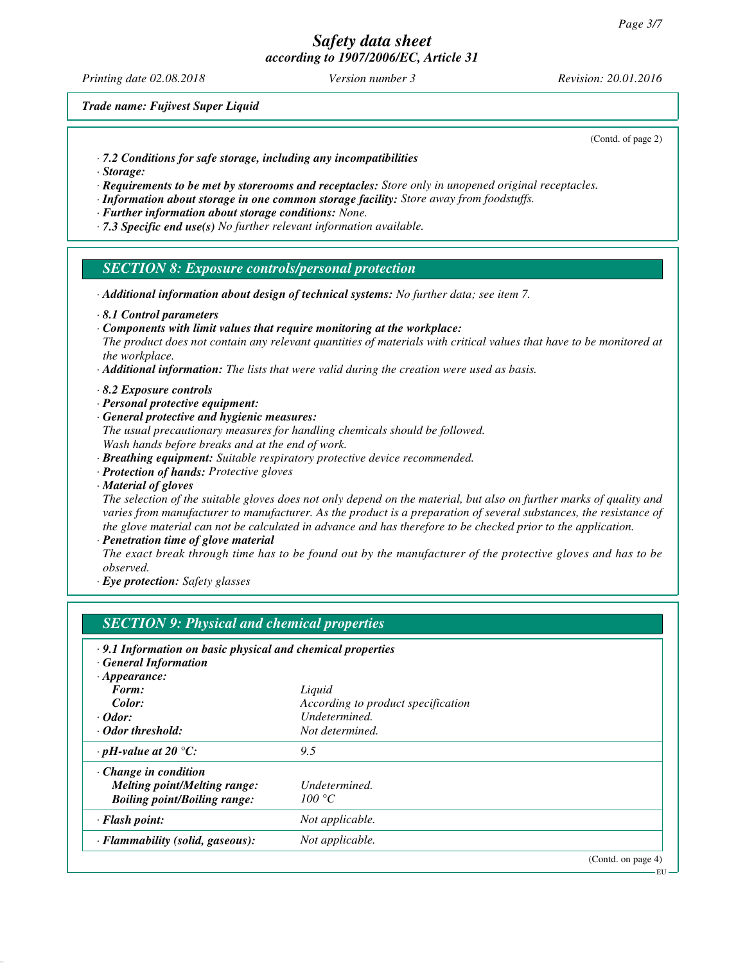*Printing date 02.08.2018 Version number 3 Revision: 20.01.2016*

*Trade name: Fujivest Super Liquid*

(Contd. of page 2)

- *· 7.2 Conditions for safe storage, including any incompatibilities*
- *· Storage:*
- *· Requirements to be met by storerooms and receptacles: Store only in unopened original receptacles.*
- *· Information about storage in one common storage facility: Store away from foodstuffs.*
- *· Further information about storage conditions: None.*
- *· 7.3 Specific end use(s) No further relevant information available.*

#### *SECTION 8: Exposure controls/personal protection*

- *· Additional information about design of technical systems: No further data; see item 7.*
- *· 8.1 Control parameters*
- *· Components with limit values that require monitoring at the workplace:*

*The product does not contain any relevant quantities of materials with critical values that have to be monitored at the workplace.*

- *· Additional information: The lists that were valid during the creation were used as basis.*
- *· 8.2 Exposure controls*
- *· Personal protective equipment:*
- *· General protective and hygienic measures:*
- *The usual precautionary measures for handling chemicals should be followed. Wash hands before breaks and at the end of work.*
- *· Breathing equipment: Suitable respiratory protective device recommended.*
- *· Protection of hands: Protective gloves*
- *· Material of gloves*

*The selection of the suitable gloves does not only depend on the material, but also on further marks of quality and varies from manufacturer to manufacturer. As the product is a preparation of several substances, the resistance of the glove material can not be calculated in advance and has therefore to be checked prior to the application.*

*· Penetration time of glove material*

*The exact break through time has to be found out by the manufacturer of the protective gloves and has to be observed.*

*· Eye protection: Safety glasses*

| <b>SECTION 9: Physical and chemical properties</b>         |                                    |                    |  |  |
|------------------------------------------------------------|------------------------------------|--------------------|--|--|
| .9.1 Information on basic physical and chemical properties |                                    |                    |  |  |
| <b>General Information</b>                                 |                                    |                    |  |  |
| $\cdot$ Appearance:                                        |                                    |                    |  |  |
| Form:                                                      | Liquid                             |                    |  |  |
| Color:                                                     | According to product specification |                    |  |  |
| $\cdot$ Odor:                                              | Undetermined.                      |                    |  |  |
| · Odor threshold:                                          | Not determined.                    |                    |  |  |
| $\cdot$ pH-value at 20 $\degree$ C:                        | 9.5                                |                    |  |  |
| $\cdot$ Change in condition                                |                                    |                    |  |  |
| <b>Melting point/Melting range:</b>                        | Undetermined.                      |                    |  |  |
| <b>Boiling point/Boiling range:</b>                        | 100 °C                             |                    |  |  |
| · Flash point:                                             | Not applicable.                    |                    |  |  |
| · Flammability (solid, gaseous):                           | Not applicable.                    |                    |  |  |
|                                                            |                                    | (Contd. on page 4) |  |  |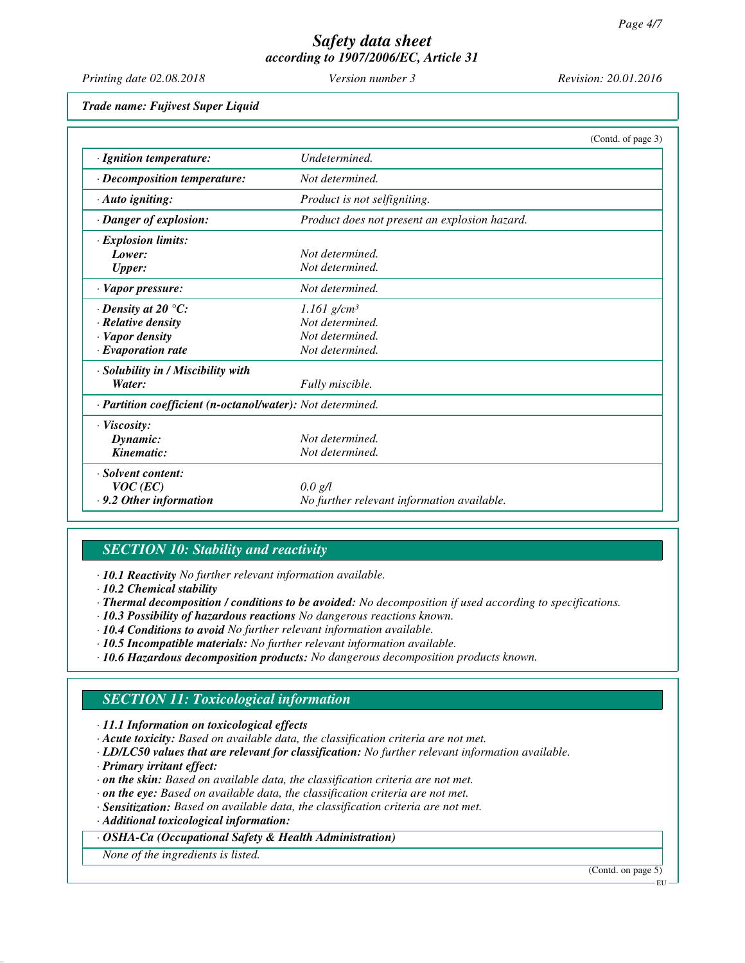*Printing date 02.08.2018 Version number 3 Revision: 20.01.2016*

*Trade name: Fujivest Super Liquid*

|                                                            | (Contd. of page 3)                            |
|------------------------------------------------------------|-----------------------------------------------|
| · Ignition temperature:                                    | Undetermined.                                 |
| · Decomposition temperature:                               | Not determined.                               |
| $\cdot$ Auto igniting:                                     | Product is not selfigniting.                  |
| · Danger of explosion:                                     | Product does not present an explosion hazard. |
| $\cdot$ Explosion limits:                                  |                                               |
| Lower:                                                     | Not determined.                               |
| <b>Upper:</b>                                              | Not determined.                               |
| · Vapor pressure:                                          | Not determined.                               |
| $\cdot$ Density at 20 $\degree$ C:                         | $1.161$ g/cm <sup>3</sup>                     |
| $\cdot$ Relative density                                   | Not determined.                               |
| · Vapor density                                            | Not determined.                               |
| $\cdot$ Evaporation rate                                   | Not determined.                               |
| · Solubility in / Miscibility with                         |                                               |
| Water:                                                     | Fully miscible.                               |
| · Partition coefficient (n-octanol/water): Not determined. |                                               |
| $\cdot$ Viscosity:                                         |                                               |
| Dynamic:                                                   | Not determined.                               |
| Kinematic:                                                 | Not determined.                               |
| · Solvent content:                                         |                                               |
| $VOC$ (EC)                                                 | 0.0 g/l                                       |
| $\cdot$ 9.2 Other information                              | No further relevant information available.    |

# *SECTION 10: Stability and reactivity*

*· 10.1 Reactivity No further relevant information available.*

*· 10.2 Chemical stability*

*· Thermal decomposition / conditions to be avoided: No decomposition if used according to specifications.*

- *· 10.3 Possibility of hazardous reactions No dangerous reactions known.*
- *· 10.4 Conditions to avoid No further relevant information available.*
- *· 10.5 Incompatible materials: No further relevant information available.*
- *· 10.6 Hazardous decomposition products: No dangerous decomposition products known.*

# *SECTION 11: Toxicological information*

*· 11.1 Information on toxicological effects*

*· Acute toxicity: Based on available data, the classification criteria are not met.*

- *· LD/LC50 values that are relevant for classification: No further relevant information available.*
- *· Primary irritant effect:*

*· on the skin: Based on available data, the classification criteria are not met.*

- *· on the eye: Based on available data, the classification criteria are not met.*
- *· Sensitization: Based on available data, the classification criteria are not met.*

*· Additional toxicological information:*

*· OSHA-Ca (Occupational Safety & Health Administration)*

*None of the ingredients is listed.*

(Contd. on page 5)

EU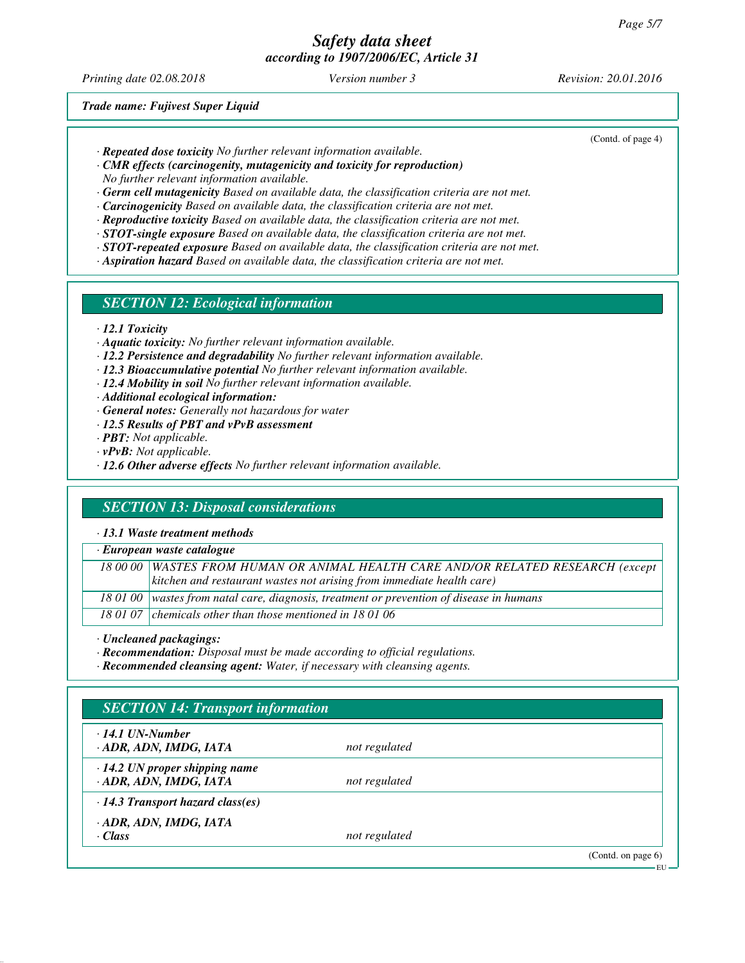*Printing date 02.08.2018 Version number 3 Revision: 20.01.2016*

(Contd. of page 4)

*Trade name: Fujivest Super Liquid*

- *· Repeated dose toxicity No further relevant information available.*
- *· CMR effects (carcinogenity, mutagenicity and toxicity for reproduction)*

*No further relevant information available.*

- *· Germ cell mutagenicity Based on available data, the classification criteria are not met.*
- *· Carcinogenicity Based on available data, the classification criteria are not met.*
- *· Reproductive toxicity Based on available data, the classification criteria are not met.*
- *· STOT-single exposure Based on available data, the classification criteria are not met.*
- *· STOT-repeated exposure Based on available data, the classification criteria are not met.*
- *· Aspiration hazard Based on available data, the classification criteria are not met.*
- *SECTION 12: Ecological information*
- *· 12.1 Toxicity*
- *· Aquatic toxicity: No further relevant information available.*
- *· 12.2 Persistence and degradability No further relevant information available.*
- *· 12.3 Bioaccumulative potential No further relevant information available.*
- *· 12.4 Mobility in soil No further relevant information available.*
- *· Additional ecological information:*
- *· General notes: Generally not hazardous for water*
- *· 12.5 Results of PBT and vPvB assessment*
- *· PBT: Not applicable.*
- *· vPvB: Not applicable.*
- *· 12.6 Other adverse effects No further relevant information available.*

### *SECTION 13: Disposal considerations*

*· 13.1 Waste treatment methods*

| $\cdot$ European waste catalogue |                                                                                            |  |  |  |
|----------------------------------|--------------------------------------------------------------------------------------------|--|--|--|
|                                  | 18 00 00 WASTES FROM HUMAN OR ANIMAL HEALTH CARE AND/OR RELATED RESEARCH (except           |  |  |  |
|                                  | kitchen and restaurant wastes not arising from immediate health care)                      |  |  |  |
|                                  | 18 01 00   wastes from natal care, diagnosis, treatment or prevention of disease in humans |  |  |  |
|                                  | 18 01 07 chemicals other than those mentioned in 18 01 06                                  |  |  |  |

*· Uncleaned packagings:*

*· Recommendation: Disposal must be made according to official regulations.*

*· Recommended cleansing agent: Water, if necessary with cleansing agents.*

| $\cdot$ 14.1 UN-Number                  |               |  |
|-----------------------------------------|---------------|--|
| · ADR, ADN, IMDG, IATA                  | not regulated |  |
| $\cdot$ 14.2 UN proper shipping name    |               |  |
| · ADR, ADN, IMDG, IATA                  | not regulated |  |
| $\cdot$ 14.3 Transport hazard class(es) |               |  |
| · ADR, ADN, IMDG, IATA                  |               |  |
| $\cdot$ Class                           | not regulated |  |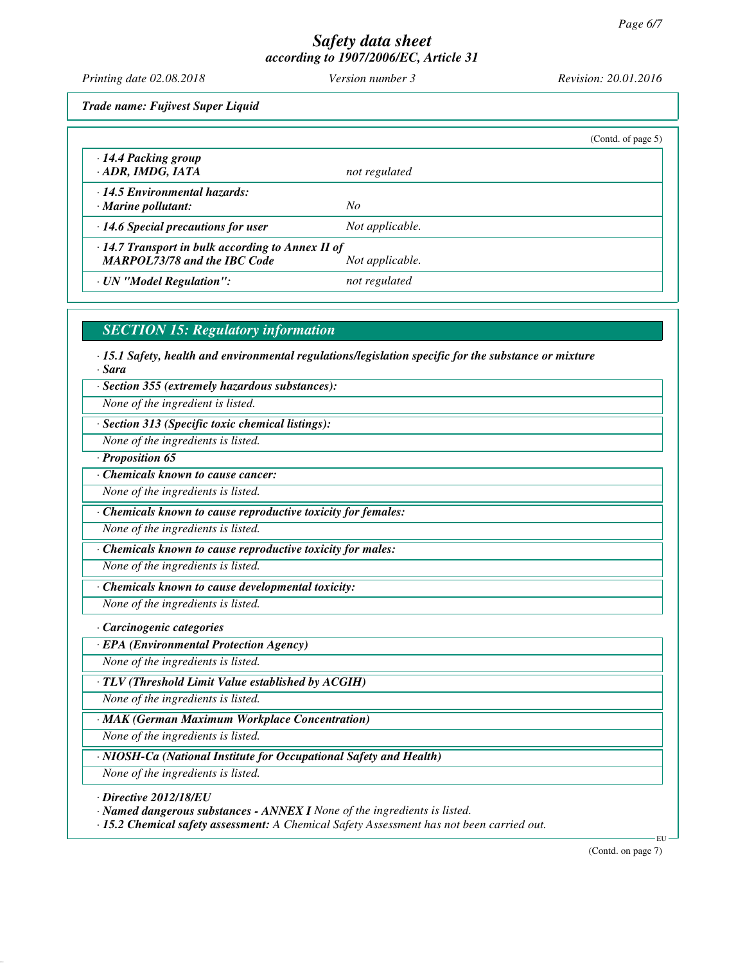*Printing date 02.08.2018 Version number 3 Revision: 20.01.2016*

*Trade name: Fujivest Super Liquid*

|                                                                                                                   |                 | (Contd. of page $5$ ) |  |
|-------------------------------------------------------------------------------------------------------------------|-----------------|-----------------------|--|
| 14.4 Packing group<br>· ADR, IMDG, IATA                                                                           | not regulated   |                       |  |
| 14.5 Environmental hazards:<br>· Marine pollutant:                                                                | No              |                       |  |
| $\cdot$ 14.6 Special precautions for user                                                                         | Not applicable. |                       |  |
| $\cdot$ 14.7 Transport in bulk according to Annex II of<br><b>MARPOL73/78 and the IBC Code</b><br>Not applicable. |                 |                       |  |
| · UN "Model Regulation":                                                                                          | not regulated   |                       |  |

### *SECTION 15: Regulatory information*

*· 15.1 Safety, health and environmental regulations/legislation specific for the substance or mixture · Sara*

*· Section 355 (extremely hazardous substances):*

*None of the ingredient is listed.*

*· Section 313 (Specific toxic chemical listings):*

*None of the ingredients is listed.*

*· Proposition 65*

*· Chemicals known to cause cancer:*

*None of the ingredients is listed.*

*· Chemicals known to cause reproductive toxicity for females:*

*None of the ingredients is listed.*

*· Chemicals known to cause reproductive toxicity for males:*

*None of the ingredients is listed.*

*· Chemicals known to cause developmental toxicity:*

*None of the ingredients is listed.*

*· Carcinogenic categories*

*· EPA (Environmental Protection Agency)*

*None of the ingredients is listed.*

*· TLV (Threshold Limit Value established by ACGIH)*

*None of the ingredients is listed.*

*· MAK (German Maximum Workplace Concentration)*

*None of the ingredients is listed.*

*· NIOSH-Ca (National Institute for Occupational Safety and Health)*

*None of the ingredients is listed.*

*· Directive 2012/18/EU*

*· Named dangerous substances - ANNEX I None of the ingredients is listed.*

*· 15.2 Chemical safety assessment: A Chemical Safety Assessment has not been carried out.*

(Contd. on page 7)

EU